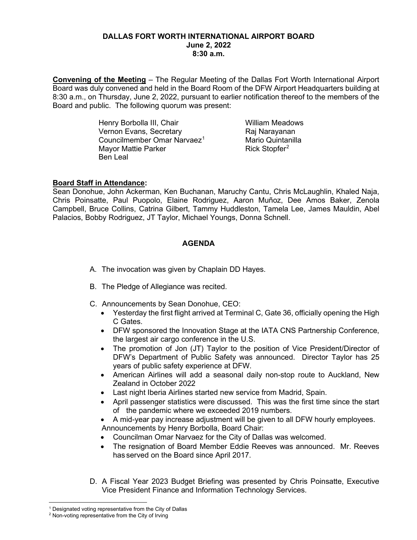### **DALLAS FORT WORTH INTERNATIONAL AIRPORT BOARD June 2, 2022 8:30 a.m.**

**Convening of the Meeting** – The Regular Meeting of the Dallas Fort Worth International Airport Board was duly convened and held in the Board Room of the DFW Airport Headquarters building at 8:30 a.m., on Thursday, June 2, 2022, pursuant to earlier notification thereof to the members of the Board and public. The following quorum was present:

> Henry Borbolla III, Chair **William Meadows** Vernon Evans, Secretary Raj Narayanan Councilmember Omar Narvaez<sup>[1](#page-0-0)</sup> Mario Quintanilla<br>1990 Mayor Mattie Parker Mayor Mattie Parker Ben Leal

# **Board Staff in Attendance:**

Sean Donohue, John Ackerman, Ken Buchanan, Maruchy Cantu, Chris McLaughlin, Khaled Naja, Chris Poinsatte, Paul Puopolo, Elaine Rodriguez, Aaron Muñoz, Dee Amos Baker, Zenola Campbell, Bruce Collins, Catrina Gilbert, Tammy Huddleston, Tamela Lee, James Mauldin, Abel Palacios, Bobby Rodriguez, JT Taylor, Michael Youngs, Donna Schnell.

# **AGENDA**

- A. The invocation was given by Chaplain DD Hayes.
- B. The Pledge of Allegiance was recited.
- C. Announcements by Sean Donohue, CEO:
	- Yesterday the first flight arrived at Terminal C, Gate 36, officially opening the High C Gates.
	- DFW sponsored the Innovation Stage at the IATA CNS Partnership Conference, the largest air cargo conference in the U.S.
	- The promotion of Jon (JT) Taylor to the position of Vice President/Director of DFW's Department of Public Safety was announced. Director Taylor has 25 years of public safety experience at DFW.
	- American Airlines will add a seasonal daily non-stop route to Auckland, New Zealand in October 2022
	- Last night Iberia Airlines started new service from Madrid, Spain.
	- April passenger statistics were discussed. This was the first time since the start of the pandemic where we exceeded 2019 numbers.
	- A mid-year pay increase adjustment will be given to all DFW hourly employees. Announcements by Henry Borbolla, Board Chair:
	- Councilman Omar Narvaez for the City of Dallas was welcomed.
	- The resignation of Board Member Eddie Reeves was announced. Mr. Reeves has served on the Board since April 2017.
- D. A Fiscal Year 2023 Budget Briefing was presented by Chris Poinsatte, Executive Vice President Finance and Information Technology Services.

<sup>&</sup>lt;sup>1</sup> Designated voting representative from the City of Dallas

<span id="page-0-1"></span><span id="page-0-0"></span><sup>&</sup>lt;sup>2</sup> Non-voting representative from the City of Irving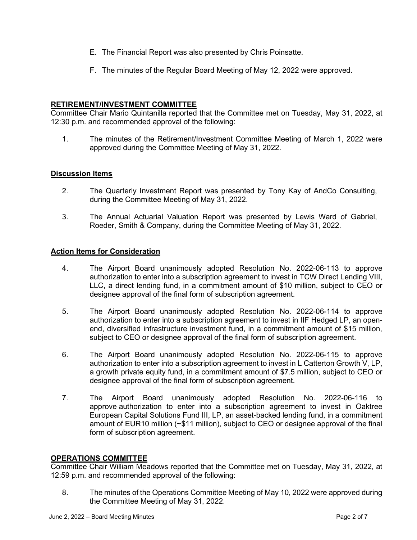- E. The Financial Report was also presented by Chris Poinsatte.
- F. The minutes of the Regular Board Meeting of May 12, 2022 were approved.

### **RETIREMENT/INVESTMENT COMMITTEE**

Committee Chair Mario Quintanilla reported that the Committee met on Tuesday, May 31, 2022, at 12:30 p.m. and recommended approval of the following:

1. The minutes of the Retirement/Investment Committee Meeting of March 1, 2022 were approved during the Committee Meeting of May 31, 2022.

#### **Discussion Items**

- 2. The Quarterly Investment Report was presented by Tony Kay of AndCo Consulting, during the Committee Meeting of May 31, 2022.
- 3. The Annual Actuarial Valuation Report was presented by Lewis Ward of Gabriel, Roeder, Smith & Company, during the Committee Meeting of May 31, 2022.

#### **Action Items for Consideration**

- 4. The Airport Board unanimously adopted Resolution No. 2022-06-113 to approve authorization to enter into a subscription agreement to invest in TCW Direct Lending VIII, LLC, a direct lending fund, in a commitment amount of \$10 million, subject to CEO or designee approval of the final form of subscription agreement.
- 5. The Airport Board unanimously adopted Resolution No. 2022-06-114 to approve authorization to enter into a subscription agreement to invest in IIF Hedged LP, an openend, diversified infrastructure investment fund, in a commitment amount of \$15 million, subject to CEO or designee approval of the final form of subscription agreement.
- 6. The Airport Board unanimously adopted Resolution No. 2022-06-115 to approve authorization to enter into a subscription agreement to invest in L Catterton Growth V, LP, a growth private equity fund, in a commitment amount of \$7.5 million, subject to CEO or designee approval of the final form of subscription agreement.
- 7. The Airport Board unanimously adopted Resolution No. 2022-06-116 to approve authorization to enter into a subscription agreement to invest in Oaktree European Capital Solutions Fund III, LP, an asset-backed lending fund, in a commitment amount of EUR10 million (~\$11 million), subject to CEO or designee approval of the final form of subscription agreement.

#### **OPERATIONS COMMITTEE**

Committee Chair William Meadows reported that the Committee met on Tuesday, May 31, 2022, at 12:59 p.m. and recommended approval of the following:

8. The minutes of the Operations Committee Meeting of May 10, 2022 were approved during the Committee Meeting of May 31, 2022.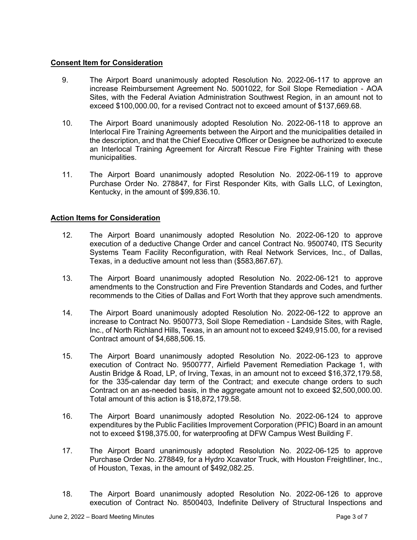### **Consent Item for Consideration**

- 9. The Airport Board unanimously adopted Resolution No. 2022-06-117 to approve an increase Reimbursement Agreement No. 5001022, for Soil Slope Remediation - AOA Sites, with the Federal Aviation Administration Southwest Region, in an amount not to exceed \$100,000.00, for a revised Contract not to exceed amount of \$137,669.68.
- 10. The Airport Board unanimously adopted Resolution No. 2022-06-118 to approve an Interlocal Fire Training Agreements between the Airport and the municipalities detailed in the description, and that the Chief Executive Officer or Designee be authorized to execute an Interlocal Training Agreement for Aircraft Rescue Fire Fighter Training with these municipalities.
- 11. The Airport Board unanimously adopted Resolution No. 2022-06-119 to approve Purchase Order No. 278847, for First Responder Kits, with Galls LLC, of Lexington, Kentucky, in the amount of \$99,836.10.

# **Action Items for Consideration**

- 12. The Airport Board unanimously adopted Resolution No. 2022-06-120 to approve execution of a deductive Change Order and cancel Contract No. 9500740, ITS Security Systems Team Facility Reconfiguration, with Real Network Services, Inc., of Dallas, Texas, in a deductive amount not less than (\$583,867.67).
- 13. The Airport Board unanimously adopted Resolution No. 2022-06-121 to approve amendments to the Construction and Fire Prevention Standards and Codes, and further recommends to the Cities of Dallas and Fort Worth that they approve such amendments.
- 14. The Airport Board unanimously adopted Resolution No. 2022-06-122 to approve an increase to Contract No. 9500773, Soil Slope Remediation - Landside Sites, with Ragle, Inc., of North Richland Hills, Texas, in an amount not to exceed \$249,915.00, for a revised Contract amount of \$4,688,506.15.
- 15. The Airport Board unanimously adopted Resolution No. 2022-06-123 to approve execution of Contract No. 9500777, Airfield Pavement Remediation Package 1, with Austin Bridge & Road, LP, of Irving, Texas, in an amount not to exceed \$16,372,179.58, for the 335-calendar day term of the Contract; and execute change orders to such Contract on an as-needed basis, in the aggregate amount not to exceed \$2,500,000.00. Total amount of this action is \$18,872,179.58.
- 16. The Airport Board unanimously adopted Resolution No. 2022-06-124 to approve expenditures by the Public Facilities Improvement Corporation (PFIC) Board in an amount not to exceed \$198,375.00, for waterproofing at DFW Campus West Building F.
- 17. The Airport Board unanimously adopted Resolution No. 2022-06-125 to approve Purchase Order No. 278849, for a Hydro Xcavator Truck, with Houston Freightliner, Inc., of Houston, Texas, in the amount of \$492,082.25.
- 18. The Airport Board unanimously adopted Resolution No. 2022-06-126 to approve execution of Contract No. 8500403, Indefinite Delivery of Structural Inspections and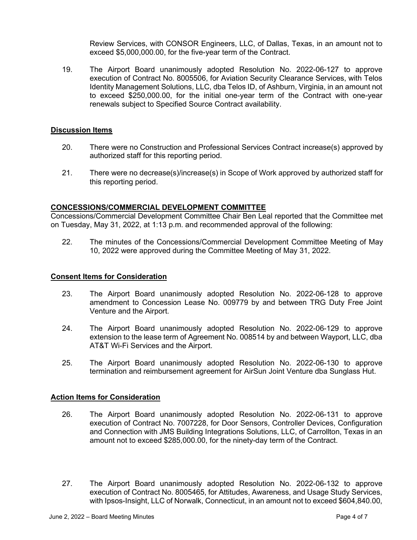Review Services, with CONSOR Engineers, LLC, of Dallas, Texas, in an amount not to exceed \$5,000,000.00, for the five-year term of the Contract.

19. The Airport Board unanimously adopted Resolution No. 2022-06-127 to approve execution of Contract No. 8005506, for Aviation Security Clearance Services, with Telos Identity Management Solutions, LLC, dba Telos ID, of Ashburn, Virginia, in an amount not to exceed \$250,000.00, for the initial one-year term of the Contract with one-year renewals subject to Specified Source Contract availability.

### **Discussion Items**

- 20. There were no Construction and Professional Services Contract increase(s) approved by authorized staff for this reporting period.
- 21. There were no decrease(s)/increase(s) in Scope of Work approved by authorized staff for this reporting period.

#### **CONCESSIONS/COMMERCIAL DEVELOPMENT COMMITTEE**

Concessions/Commercial Development Committee Chair Ben Leal reported that the Committee met on Tuesday, May 31, 2022, at 1:13 p.m. and recommended approval of the following:

22. The minutes of the Concessions/Commercial Development Committee Meeting of May 10, 2022 were approved during the Committee Meeting of May 31, 2022.

#### **Consent Items for Consideration**

- 23. The Airport Board unanimously adopted Resolution No. 2022-06-128 to approve amendment to Concession Lease No. 009779 by and between TRG Duty Free Joint Venture and the Airport.
- 24. The Airport Board unanimously adopted Resolution No. 2022-06-129 to approve extension to the lease term of Agreement No. 008514 by and between Wayport, LLC, dba AT&T Wi-Fi Services and the Airport.
- 25. The Airport Board unanimously adopted Resolution No. 2022-06-130 to approve termination and reimbursement agreement for AirSun Joint Venture dba Sunglass Hut.

#### **Action Items for Consideration**

- 26. The Airport Board unanimously adopted Resolution No. 2022-06-131 to approve execution of Contract No. 7007228, for Door Sensors, Controller Devices, Configuration and Connection with JMS Building Integrations Solutions, LLC, of Carrollton, Texas in an amount not to exceed \$285,000.00, for the ninety-day term of the Contract.
- 27. The Airport Board unanimously adopted Resolution No. 2022-06-132 to approve execution of Contract No. 8005465, for Attitudes, Awareness, and Usage Study Services, with Ipsos-Insight, LLC of Norwalk, Connecticut, in an amount not to exceed \$604,840.00,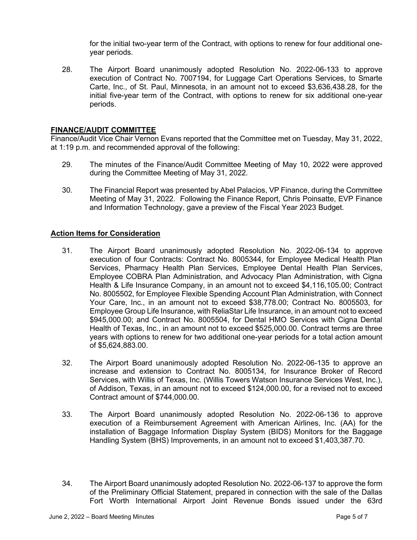for the initial two-year term of the Contract, with options to renew for four additional oneyear periods.

28. The Airport Board unanimously adopted Resolution No. 2022-06-133 to approve execution of Contract No. 7007194, for Luggage Cart Operations Services, to Smarte Carte, Inc., of St. Paul, Minnesota, in an amount not to exceed \$3,636,438.28, for the initial five-year term of the Contract, with options to renew for six additional one-year periods.

### **FINANCE/AUDIT COMMITTEE**

Finance/Audit Vice Chair Vernon Evans reported that the Committee met on Tuesday, May 31, 2022, at 1:19 p.m. and recommended approval of the following:

- 29. The minutes of the Finance/Audit Committee Meeting of May 10, 2022 were approved during the Committee Meeting of May 31, 2022.
- 30. The Financial Report was presented by Abel Palacios, VP Finance, during the Committee Meeting of May 31, 2022. Following the Finance Report, Chris Poinsatte, EVP Finance and Information Technology, gave a preview of the Fiscal Year 2023 Budget.

### **Action Items for Consideration**

- 31. The Airport Board unanimously adopted Resolution No. 2022-06-134 to approve execution of four Contracts: Contract No. 8005344, for Employee Medical Health Plan Services, Pharmacy Health Plan Services, Employee Dental Health Plan Services, Employee COBRA Plan Administration, and Advocacy Plan Administration, with Cigna Health & Life Insurance Company, in an amount not to exceed \$4,116,105.00; Contract No. 8005502, for Employee Flexible Spending Account Plan Administration, with Connect Your Care, Inc., in an amount not to exceed \$38,778.00; Contract No. 8005503, for Employee Group Life Insurance, with ReliaStar Life Insurance, in an amount not to exceed \$945,000.00; and Contract No. 8005504, for Dental HMO Services with Cigna Dental Health of Texas, Inc., in an amount not to exceed \$525,000.00. Contract terms are three years with options to renew for two additional one-year periods for a total action amount of \$5,624,883.00.
- 32. The Airport Board unanimously adopted Resolution No. 2022-06-135 to approve an increase and extension to Contract No. 8005134, for Insurance Broker of Record Services, with Willis of Texas, Inc. (Willis Towers Watson Insurance Services West, Inc.), of Addison, Texas, in an amount not to exceed \$124,000.00, for a revised not to exceed Contract amount of \$744,000.00.
- 33. The Airport Board unanimously adopted Resolution No. 2022-06-136 to approve execution of a Reimbursement Agreement with American Airlines, Inc. (AA) for the installation of Baggage Information Display System (BIDS) Monitors for the Baggage Handling System (BHS) Improvements, in an amount not to exceed \$1,403,387.70.
- 34. The Airport Board unanimously adopted Resolution No. 2022-06-137 to approve the form of the Preliminary Official Statement, prepared in connection with the sale of the Dallas Fort Worth International Airport Joint Revenue Bonds issued under the 63rd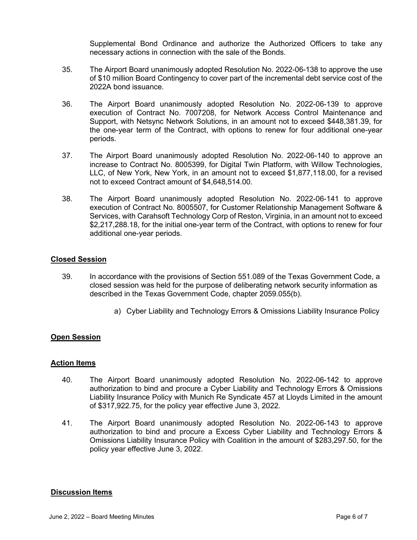Supplemental Bond Ordinance and authorize the Authorized Officers to take any necessary actions in connection with the sale of the Bonds.

- 35. The Airport Board unanimously adopted Resolution No. 2022-06-138 to approve the use of \$10 million Board Contingency to cover part of the incremental debt service cost of the 2022A bond issuance.
- 36. The Airport Board unanimously adopted Resolution No. 2022-06-139 to approve execution of Contract No. 7007208, for Network Access Control Maintenance and Support, with Netsync Network Solutions, in an amount not to exceed \$448,381.39, for the one-year term of the Contract, with options to renew for four additional one-year periods.
- 37. The Airport Board unanimously adopted Resolution No. 2022-06-140 to approve an increase to Contract No. 8005399, for Digital Twin Platform, with Willow Technologies, LLC, of New York, New York, in an amount not to exceed \$1,877,118.00, for a revised not to exceed Contract amount of \$4,648,514.00.
- 38. The Airport Board unanimously adopted Resolution No. 2022-06-141 to approve execution of Contract No. 8005507, for Customer Relationship Management Software & Services, with Carahsoft Technology Corp of Reston, Virginia, in an amount not to exceed \$2,217,288.18, for the initial one-year term of the Contract, with options to renew for four additional one-year periods.

# **Closed Session**

- 39. In accordance with the provisions of Section 551.089 of the Texas Government Code, a closed session was held for the purpose of deliberating network security information as described in the Texas Government Code, chapter 2059.055(b).
	- a) Cyber Liability and Technology Errors & Omissions Liability Insurance Policy

# **Open Session**

#### **Action Items**

- 40. The Airport Board unanimously adopted Resolution No. 2022-06-142 to approve authorization to bind and procure a Cyber Liability and Technology Errors & Omissions Liability Insurance Policy with Munich Re Syndicate 457 at Lloyds Limited in the amount of \$317,922.75, for the policy year effective June 3, 2022.
- 41. The Airport Board unanimously adopted Resolution No. 2022-06-143 to approve authorization to bind and procure a Excess Cyber Liability and Technology Errors & Omissions Liability Insurance Policy with Coalition in the amount of \$283,297.50, for the policy year effective June 3, 2022.

#### **Discussion Items**